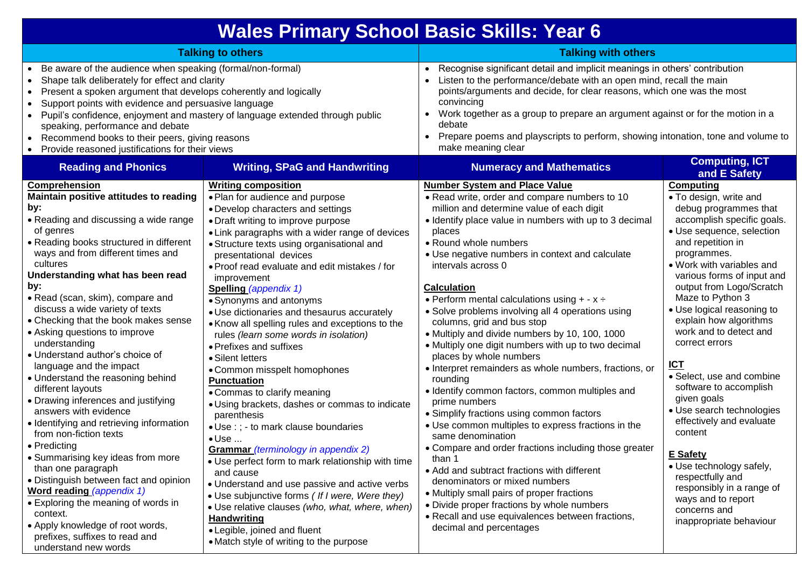# **Wales Primary School Basic Skills: Year 6**

| <b>Talking to others</b>                                                                                                                                                                                                                                                                                                                                                                                                                                                                                                                                                                                                                                                                                                                                                                                                                                                                                                                                                                             |                                                                                                                                                                                                                                                                                                                                                                                                                                                                                                                                                                                                                                                                                                                                                                                                                                                                                                                                                                                                                                                                                                                                                                                          | <b>Talking with others</b>                                                                                                                                                                                                                                                                                                                                                                                                                                                                                                                                                                                                                                                                                                                                                                                                                                                                                                                                                                                                                                                                                                                                                                                |                                                                                                                                                                                                                                                                                                                                                                                                                                                                                                                                                                                                                                                                                                     |
|------------------------------------------------------------------------------------------------------------------------------------------------------------------------------------------------------------------------------------------------------------------------------------------------------------------------------------------------------------------------------------------------------------------------------------------------------------------------------------------------------------------------------------------------------------------------------------------------------------------------------------------------------------------------------------------------------------------------------------------------------------------------------------------------------------------------------------------------------------------------------------------------------------------------------------------------------------------------------------------------------|------------------------------------------------------------------------------------------------------------------------------------------------------------------------------------------------------------------------------------------------------------------------------------------------------------------------------------------------------------------------------------------------------------------------------------------------------------------------------------------------------------------------------------------------------------------------------------------------------------------------------------------------------------------------------------------------------------------------------------------------------------------------------------------------------------------------------------------------------------------------------------------------------------------------------------------------------------------------------------------------------------------------------------------------------------------------------------------------------------------------------------------------------------------------------------------|-----------------------------------------------------------------------------------------------------------------------------------------------------------------------------------------------------------------------------------------------------------------------------------------------------------------------------------------------------------------------------------------------------------------------------------------------------------------------------------------------------------------------------------------------------------------------------------------------------------------------------------------------------------------------------------------------------------------------------------------------------------------------------------------------------------------------------------------------------------------------------------------------------------------------------------------------------------------------------------------------------------------------------------------------------------------------------------------------------------------------------------------------------------------------------------------------------------|-----------------------------------------------------------------------------------------------------------------------------------------------------------------------------------------------------------------------------------------------------------------------------------------------------------------------------------------------------------------------------------------------------------------------------------------------------------------------------------------------------------------------------------------------------------------------------------------------------------------------------------------------------------------------------------------------------|
| Be aware of the audience when speaking (formal/non-formal)<br>Shape talk deliberately for effect and clarity<br>Present a spoken argument that develops coherently and logically<br>Support points with evidence and persuasive language<br>Pupil's confidence, enjoyment and mastery of language extended through public<br>speaking, performance and debate<br>Recommend books to their peers, giving reasons<br>Provide reasoned justifications for their views<br>٠                                                                                                                                                                                                                                                                                                                                                                                                                                                                                                                              |                                                                                                                                                                                                                                                                                                                                                                                                                                                                                                                                                                                                                                                                                                                                                                                                                                                                                                                                                                                                                                                                                                                                                                                          | Recognise significant detail and implicit meanings in others' contribution<br>Listen to the performance/debate with an open mind, recall the main<br>points/arguments and decide, for clear reasons, which one was the most<br>convincing<br>Work together as a group to prepare an argument against or for the motion in a<br>debate<br>Prepare poems and playscripts to perform, showing intonation, tone and volume to<br>make meaning clear                                                                                                                                                                                                                                                                                                                                                                                                                                                                                                                                                                                                                                                                                                                                                           |                                                                                                                                                                                                                                                                                                                                                                                                                                                                                                                                                                                                                                                                                                     |
| <b>Reading and Phonics</b>                                                                                                                                                                                                                                                                                                                                                                                                                                                                                                                                                                                                                                                                                                                                                                                                                                                                                                                                                                           | <b>Writing, SPaG and Handwriting</b>                                                                                                                                                                                                                                                                                                                                                                                                                                                                                                                                                                                                                                                                                                                                                                                                                                                                                                                                                                                                                                                                                                                                                     | <b>Numeracy and Mathematics</b>                                                                                                                                                                                                                                                                                                                                                                                                                                                                                                                                                                                                                                                                                                                                                                                                                                                                                                                                                                                                                                                                                                                                                                           | <b>Computing, ICT</b><br>and E Safety                                                                                                                                                                                                                                                                                                                                                                                                                                                                                                                                                                                                                                                               |
| Comprehension<br>Maintain positive attitudes to reading<br>by:<br>• Reading and discussing a wide range<br>of genres<br>• Reading books structured in different<br>ways and from different times and<br>cultures<br>Understanding what has been read<br>by:<br>• Read (scan, skim), compare and<br>discuss a wide variety of texts<br>• Checking that the book makes sense<br>• Asking questions to improve<br>understanding<br>• Understand author's choice of<br>language and the impact<br>• Understand the reasoning behind<br>different layouts<br>• Drawing inferences and justifying<br>answers with evidence<br>• Identifying and retrieving information<br>from non-fiction texts<br>• Predicting<br>• Summarising key ideas from more<br>than one paragraph<br>• Distinguish between fact and opinion<br><b>Word reading (appendix 1)</b><br>• Exploring the meaning of words in<br>context.<br>• Apply knowledge of root words,<br>prefixes, suffixes to read and<br>understand new words | <b>Writing composition</b><br>• Plan for audience and purpose<br>• Develop characters and settings<br>• Draft writing to improve purpose<br>• Link paragraphs with a wider range of devices<br>• Structure texts using organisational and<br>presentational devices<br>• Proof read evaluate and edit mistakes / for<br>improvement<br><b>Spelling (appendix 1)</b><br>• Synonyms and antonyms<br>• Use dictionaries and thesaurus accurately<br>• Know all spelling rules and exceptions to the<br>rules (learn some words in isolation)<br>• Prefixes and suffixes<br>• Silent letters<br>• Common misspelt homophones<br><b>Punctuation</b><br>• Commas to clarify meaning<br>. Using brackets, dashes or commas to indicate<br>parenthesis<br>• Use : ; - to mark clause boundaries<br>$\bullet$ Use $\ldots$<br><b>Grammar</b> (terminology in appendix 2)<br>• Use perfect form to mark relationship with time<br>and cause<br>• Understand and use passive and active verbs<br>• Use subjunctive forms (If I were, Were they)<br>• Use relative clauses (who, what, where, when)<br><b>Handwriting</b><br>• Legible, joined and fluent<br>• Match style of writing to the purpose | <b>Number System and Place Value</b><br>• Read write, order and compare numbers to 10<br>million and determine value of each digit<br>• Identify place value in numbers with up to 3 decimal<br>places<br>• Round whole numbers<br>• Use negative numbers in context and calculate<br>intervals across 0<br><b>Calculation</b><br>• Perform mental calculations using $+ - x \div$<br>• Solve problems involving all 4 operations using<br>columns, grid and bus stop<br>• Multiply and divide numbers by 10, 100, 1000<br>• Multiply one digit numbers with up to two decimal<br>places by whole numbers<br>• Interpret remainders as whole numbers, fractions, or<br>rounding<br>· Identify common factors, common multiples and<br>prime numbers<br>• Simplify fractions using common factors<br>• Use common multiples to express fractions in the<br>same denomination<br>• Compare and order fractions including those greater<br>than 1<br>• Add and subtract fractions with different<br>denominators or mixed numbers<br>• Multiply small pairs of proper fractions<br>• Divide proper fractions by whole numbers<br>• Recall and use equivalences between fractions,<br>decimal and percentages | Computing<br>• To design, write and<br>debug programmes that<br>accomplish specific goals.<br>· Use sequence, selection<br>and repetition in<br>programmes.<br>• Work with variables and<br>various forms of input and<br>output from Logo/Scratch<br>Maze to Python 3<br>• Use logical reasoning to<br>explain how algorithms<br>work and to detect and<br>correct errors<br><b>ICT</b><br>• Select, use and combine<br>software to accomplish<br>given goals<br>• Use search technologies<br>effectively and evaluate<br>content<br><b>E</b> Safety<br>• Use technology safely,<br>respectfully and<br>responsibly in a range of<br>ways and to report<br>concerns and<br>inappropriate behaviour |